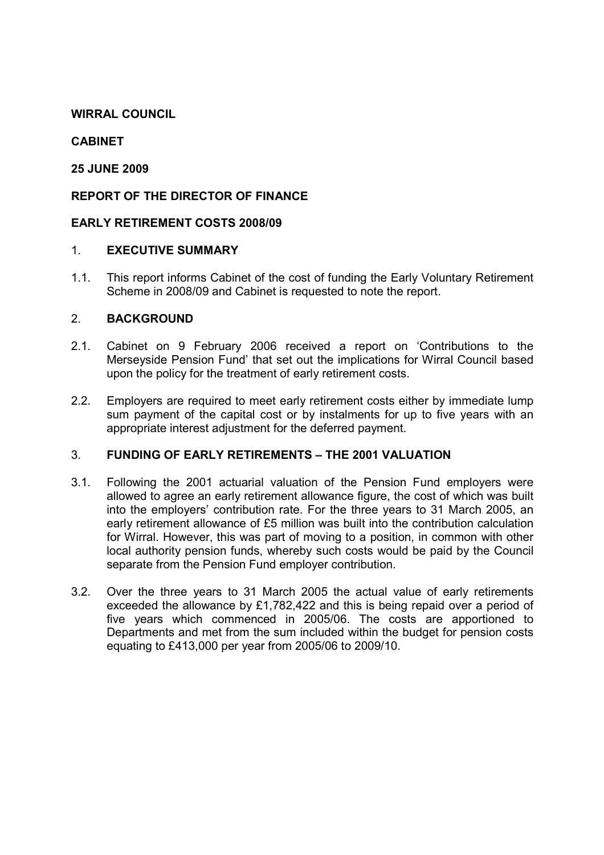# WIRRAL COUNCIL

# **CARINET**

# 25 JUNE 2009

# REPORT OF THE DIRECTOR OF FINANCE

### EARLY RETIREMENT COSTS 2008/09

### 1. EXECUTIVE SUMMARY

1.1. This report informs Cabinet of the cost of funding the Early Voluntary Retirement Scheme in 2008/09 and Cabinet is requested to note the report.

### 2. BACKGROUND

- 2.1. Cabinet on 9 February 2006 received a report on 'Contributions to the Merseyside Pension Fund' that set out the implications for Wirral Council based upon the policy for the treatment of early retirement costs.
- 2.2. Employers are required to meet early retirement costs either by immediate lump sum payment of the capital cost or by instalments for up to five years with an appropriate interest adjustment for the deferred payment.

### 3. FUNDING OF EARLY RETIREMENTS – THE 2001 VALUATION

- 3.1. Following the 2001 actuarial valuation of the Pension Fund employers were allowed to agree an early retirement allowance figure, the cost of which was built into the employers' contribution rate. For the three years to 31 March 2005, an early retirement allowance of £5 million was built into the contribution calculation for Wirral. However, this was part of moving to a position, in common with other local authority pension funds, whereby such costs would be paid by the Council separate from the Pension Fund employer contribution.
- 3.2. Over the three years to 31 March 2005 the actual value of early retirements exceeded the allowance by £1,782,422 and this is being repaid over a period of five years which commenced in 2005/06. The costs are apportioned to Departments and met from the sum included within the budget for pension costs equating to £413,000 per year from 2005/06 to 2009/10.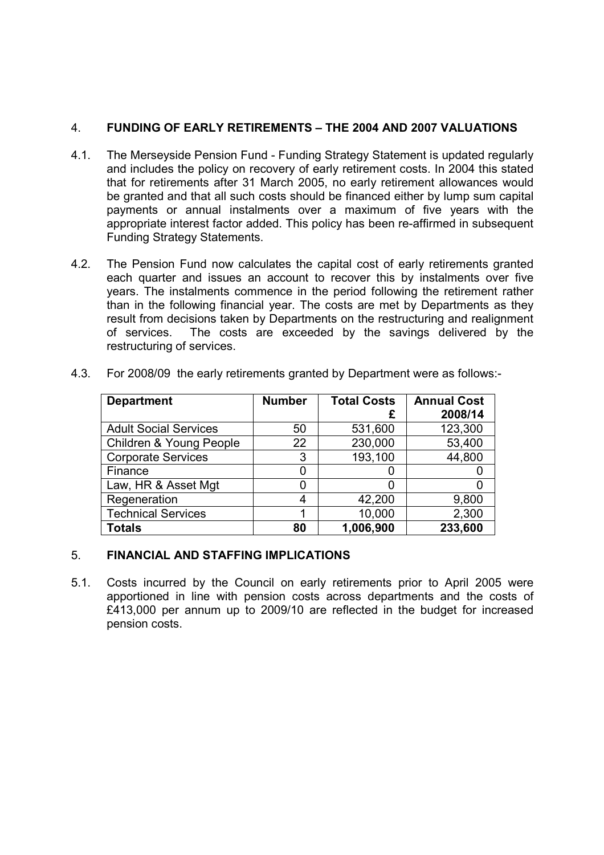# 4. FUNDING OF EARLY RETIREMENTS – THE 2004 AND 2007 VALUATIONS

- 4.1. The Merseyside Pension Fund Funding Strategy Statement is updated regularly and includes the policy on recovery of early retirement costs. In 2004 this stated that for retirements after 31 March 2005, no early retirement allowances would be granted and that all such costs should be financed either by lump sum capital payments or annual instalments over a maximum of five years with the appropriate interest factor added. This policy has been re-affirmed in subsequent Funding Strategy Statements.
- 4.2. The Pension Fund now calculates the capital cost of early retirements granted each quarter and issues an account to recover this by instalments over five years. The instalments commence in the period following the retirement rather than in the following financial year. The costs are met by Departments as they result from decisions taken by Departments on the restructuring and realignment of services. The costs are exceeded by the savings delivered by the restructuring of services.

| <b>Department</b>            | <b>Number</b> | <b>Total Costs</b> | <b>Annual Cost</b> |
|------------------------------|---------------|--------------------|--------------------|
|                              |               | £                  | 2008/14            |
| <b>Adult Social Services</b> | 50            | 531,600            | 123,300            |
| Children & Young People      | 22            | 230,000            | 53,400             |
| <b>Corporate Services</b>    | 3             | 193,100            | 44,800             |
| Finance                      | 0             |                    |                    |
| Law, HR & Asset Mgt          | 0             |                    |                    |
| Regeneration                 | 4             | 42,200             | 9,800              |
| <b>Technical Services</b>    |               | 10,000             | 2,300              |
| <b>Totals</b>                | 80            | 1,006,900          | 233,600            |

4.3. For 2008/09 the early retirements granted by Department were as follows:-

#### 5. FINANCIAL AND STAFFING IMPLICATIONS

5.1. Costs incurred by the Council on early retirements prior to April 2005 were apportioned in line with pension costs across departments and the costs of £413,000 per annum up to 2009/10 are reflected in the budget for increased pension costs.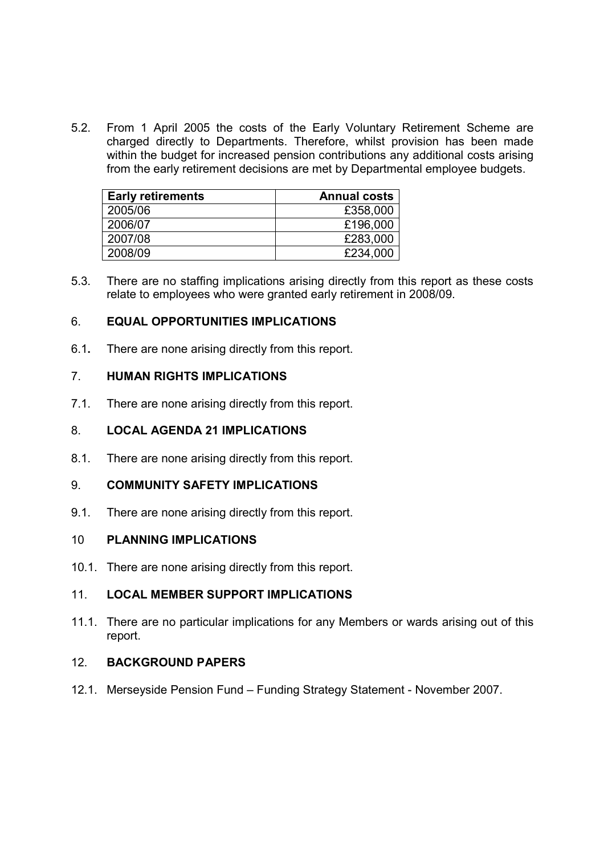5.2. From 1 April 2005 the costs of the Early Voluntary Retirement Scheme are charged directly to Departments. Therefore, whilst provision has been made within the budget for increased pension contributions any additional costs arising from the early retirement decisions are met by Departmental employee budgets.

| <b>Early retirements</b> | <b>Annual costs</b> |
|--------------------------|---------------------|
| 2005/06                  | £358,000            |
| 2006/07                  | £196,000            |
| 2007/08                  | £283,000            |
| 2008/09                  | £234,000            |

5.3. There are no staffing implications arising directly from this report as these costs relate to employees who were granted early retirement in 2008/09.

### 6. EQUAL OPPORTUNITIES IMPLICATIONS

6.1. There are none arising directly from this report.

# 7. HUMAN RIGHTS IMPLICATIONS

7.1. There are none arising directly from this report.

### 8. LOCAL AGENDA 21 IMPLICATIONS

8.1. There are none arising directly from this report.

#### 9. COMMUNITY SAFETY IMPLICATIONS

9.1. There are none arising directly from this report.

### 10 PLANNING IMPLICATIONS

10.1. There are none arising directly from this report.

# 11. LOCAL MEMBER SUPPORT IMPLICATIONS

11.1. There are no particular implications for any Members or wards arising out of this report.

### 12. BACKGROUND PAPERS

12.1. Merseyside Pension Fund – Funding Strategy Statement - November 2007.